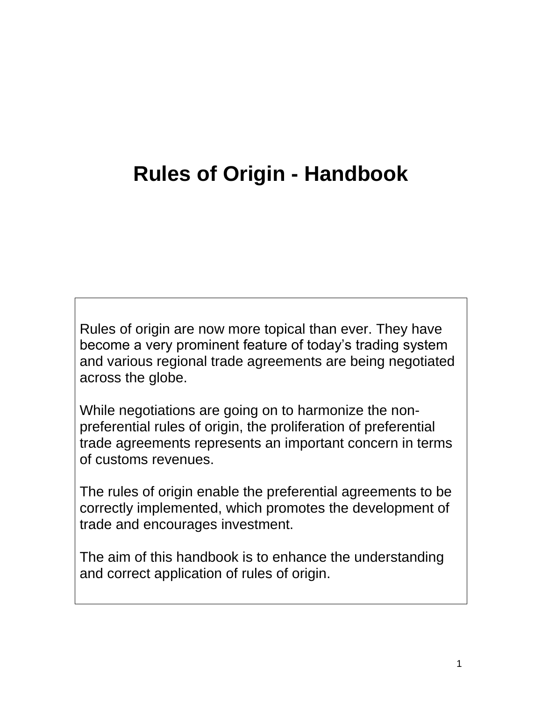# **Rules of Origin - Handbook**

Rules of origin are now more topical than ever. They have become a very prominent feature of today's trading system and various regional trade agreements are being negotiated across the globe.

While negotiations are going on to harmonize the nonpreferential rules of origin, the proliferation of preferential trade agreements represents an important concern in terms of customs revenues.

The rules of origin enable the preferential agreements to be correctly implemented, which promotes the development of trade and encourages investment.

The aim of this handbook is to enhance the understanding and correct application of rules of origin.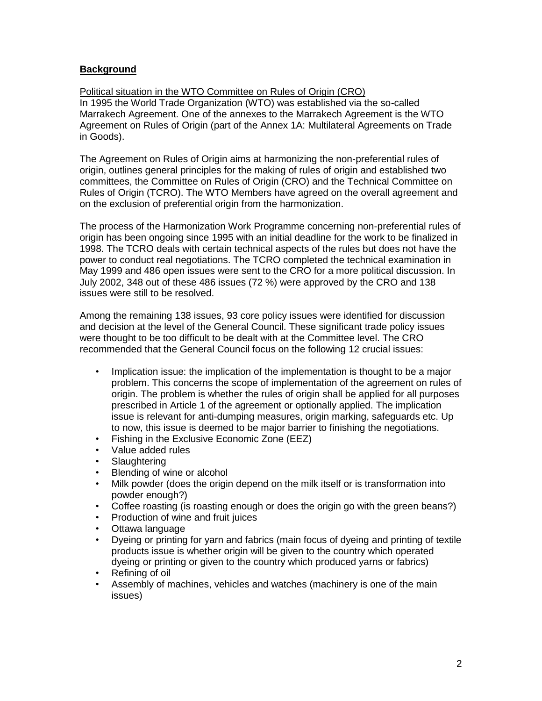## **Background**

Political situation in the WTO Committee on Rules of Origin (CRO) In 1995 the World Trade Organization (WTO) was established via the so-called Marrakech Agreement. One of the annexes to the Marrakech Agreement is the WTO Agreement on Rules of Origin (part of the Annex 1A: Multilateral Agreements on Trade in Goods).

The Agreement on Rules of Origin aims at harmonizing the non-preferential rules of origin, outlines general principles for the making of rules of origin and established two committees, the Committee on Rules of Origin (CRO) and the Technical Committee on Rules of Origin (TCRO). The WTO Members have agreed on the overall agreement and on the exclusion of preferential origin from the harmonization.

The process of the Harmonization Work Programme concerning non-preferential rules of origin has been ongoing since 1995 with an initial deadline for the work to be finalized in 1998. The TCRO deals with certain technical aspects of the rules but does not have the power to conduct real negotiations. The TCRO completed the technical examination in May 1999 and 486 open issues were sent to the CRO for a more political discussion. In July 2002, 348 out of these 486 issues (72 %) were approved by the CRO and 138 issues were still to be resolved.

Among the remaining 138 issues, 93 core policy issues were identified for discussion and decision at the level of the General Council. These significant trade policy issues were thought to be too difficult to be dealt with at the Committee level. The CRO recommended that the General Council focus on the following 12 crucial issues:

- Implication issue: the implication of the implementation is thought to be a major problem. This concerns the scope of implementation of the agreement on rules of origin. The problem is whether the rules of origin shall be applied for all purposes prescribed in Article 1 of the agreement or optionally applied. The implication issue is relevant for anti-dumping measures, origin marking, safeguards etc. Up to now, this issue is deemed to be major barrier to finishing the negotiations.
- Fishing in the Exclusive Economic Zone (EEZ)
- Value added rules
- **Slaughtering**
- Blending of wine or alcohol
- Milk powder (does the origin depend on the milk itself or is transformation into powder enough?)
- Coffee roasting (is roasting enough or does the origin go with the green beans?)
- Production of wine and fruit juices
- Ottawa language
- Dyeing or printing for yarn and fabrics (main focus of dyeing and printing of textile products issue is whether origin will be given to the country which operated dyeing or printing or given to the country which produced yarns or fabrics)
- Refining of oil
- Assembly of machines, vehicles and watches (machinery is one of the main issues)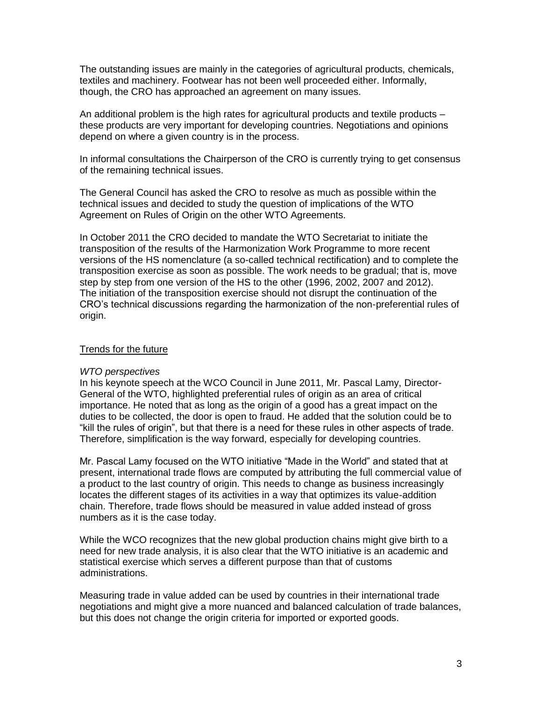The outstanding issues are mainly in the categories of agricultural products, chemicals, textiles and machinery. Footwear has not been well proceeded either. Informally, though, the CRO has approached an agreement on many issues.

An additional problem is the high rates for agricultural products and textile products – these products are very important for developing countries. Negotiations and opinions depend on where a given country is in the process.

In informal consultations the Chairperson of the CRO is currently trying to get consensus of the remaining technical issues.

The General Council has asked the CRO to resolve as much as possible within the technical issues and decided to study the question of implications of the WTO Agreement on Rules of Origin on the other WTO Agreements.

In October 2011 the CRO decided to mandate the WTO Secretariat to initiate the transposition of the results of the Harmonization Work Programme to more recent versions of the HS nomenclature (a so-called technical rectification) and to complete the transposition exercise as soon as possible. The work needs to be gradual; that is, move step by step from one version of the HS to the other (1996, 2002, 2007 and 2012). The initiation of the transposition exercise should not disrupt the continuation of the CRO's technical discussions regarding the harmonization of the non-preferential rules of origin.

#### Trends for the future

#### *WTO perspectives*

In his keynote speech at the WCO Council in June 2011, Mr. Pascal Lamy, Director-General of the WTO, highlighted preferential rules of origin as an area of critical importance. He noted that as long as the origin of a good has a great impact on the duties to be collected, the door is open to fraud. He added that the solution could be to "kill the rules of origin", but that there is a need for these rules in other aspects of trade. Therefore, simplification is the way forward, especially for developing countries.

Mr. Pascal Lamy focused on the WTO initiative "Made in the World" and stated that at present, international trade flows are computed by attributing the full commercial value of a product to the last country of origin. This needs to change as business increasingly locates the different stages of its activities in a way that optimizes its value-addition chain. Therefore, trade flows should be measured in value added instead of gross numbers as it is the case today.

While the WCO recognizes that the new global production chains might give birth to a need for new trade analysis, it is also clear that the WTO initiative is an academic and statistical exercise which serves a different purpose than that of customs administrations.

Measuring trade in value added can be used by countries in their international trade negotiations and might give a more nuanced and balanced calculation of trade balances, but this does not change the origin criteria for imported or exported goods.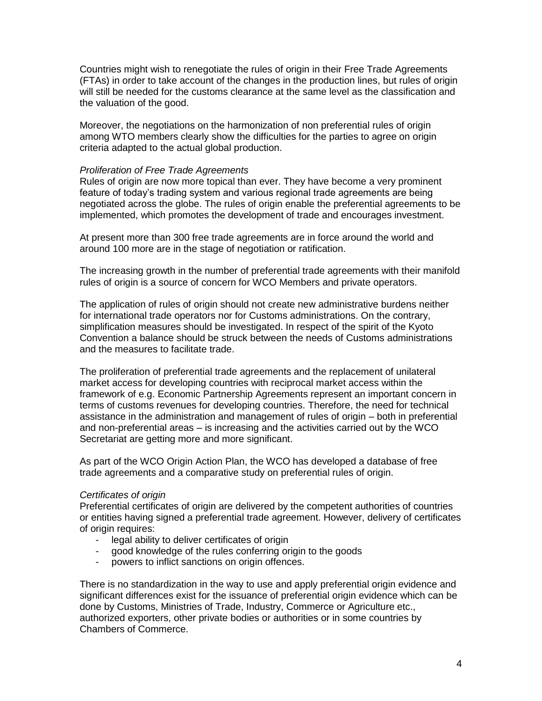Countries might wish to renegotiate the rules of origin in their Free Trade Agreements (FTAs) in order to take account of the changes in the production lines, but rules of origin will still be needed for the customs clearance at the same level as the classification and the valuation of the good.

Moreover, the negotiations on the harmonization of non preferential rules of origin among WTO members clearly show the difficulties for the parties to agree on origin criteria adapted to the actual global production.

#### *Proliferation of Free Trade Agreements*

Rules of origin are now more topical than ever. They have become a very prominent feature of today's trading system and various regional trade agreements are being negotiated across the globe. The rules of origin enable the preferential agreements to be implemented, which promotes the development of trade and encourages investment.

At present more than 300 free trade agreements are in force around the world and around 100 more are in the stage of negotiation or ratification.

The increasing growth in the number of preferential trade agreements with their manifold rules of origin is a source of concern for WCO Members and private operators.

The application of rules of origin should not create new administrative burdens neither for international trade operators nor for Customs administrations. On the contrary, simplification measures should be investigated. In respect of the spirit of the Kyoto Convention a balance should be struck between the needs of Customs administrations and the measures to facilitate trade.

The proliferation of preferential trade agreements and the replacement of unilateral market access for developing countries with reciprocal market access within the framework of e.g. Economic Partnership Agreements represent an important concern in terms of customs revenues for developing countries. Therefore, the need for technical assistance in the administration and management of rules of origin – both in preferential and non-preferential areas – is increasing and the activities carried out by the WCO Secretariat are getting more and more significant.

As part of the WCO Origin Action Plan, the WCO has developed a database of free trade agreements and a comparative study on preferential rules of origin.

#### *Certificates of origin*

Preferential certificates of origin are delivered by the competent authorities of countries or entities having signed a preferential trade agreement. However, delivery of certificates of origin requires:

- legal ability to deliver certificates of origin
- good knowledge of the rules conferring origin to the goods
- powers to inflict sanctions on origin offences.

There is no standardization in the way to use and apply preferential origin evidence and significant differences exist for the issuance of preferential origin evidence which can be done by Customs, Ministries of Trade, Industry, Commerce or Agriculture etc., authorized exporters, other private bodies or authorities or in some countries by Chambers of Commerce.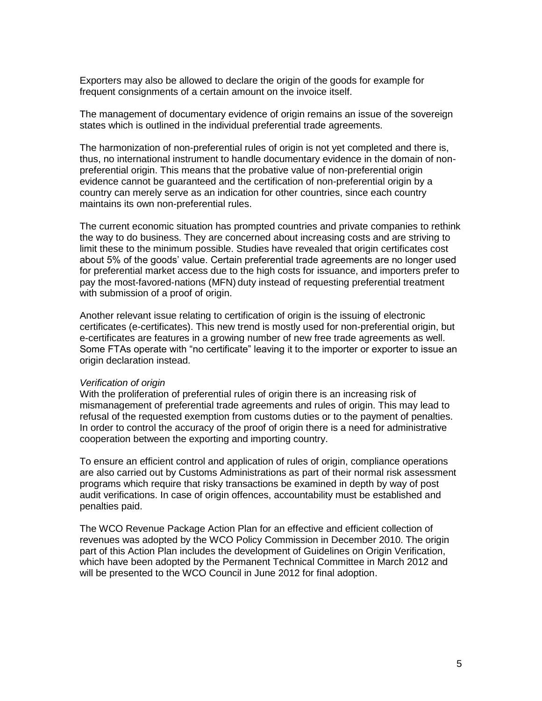Exporters may also be allowed to declare the origin of the goods for example for frequent consignments of a certain amount on the invoice itself.

The management of documentary evidence of origin remains an issue of the sovereign states which is outlined in the individual preferential trade agreements.

The harmonization of non-preferential rules of origin is not yet completed and there is, thus, no international instrument to handle documentary evidence in the domain of nonpreferential origin. This means that the probative value of non-preferential origin evidence cannot be guaranteed and the certification of non-preferential origin by a country can merely serve as an indication for other countries, since each country maintains its own non-preferential rules.

The current economic situation has prompted countries and private companies to rethink the way to do business. They are concerned about increasing costs and are striving to limit these to the minimum possible. Studies have revealed that origin certificates cost about 5% of the goods' value. Certain preferential trade agreements are no longer used for preferential market access due to the high costs for issuance, and importers prefer to pay the most-favored-nations (MFN) duty instead of requesting preferential treatment with submission of a proof of origin.

Another relevant issue relating to certification of origin is the issuing of electronic certificates (e-certificates). This new trend is mostly used for non-preferential origin, but e-certificates are features in a growing number of new free trade agreements as well. Some FTAs operate with "no certificate" leaving it to the importer or exporter to issue an origin declaration instead.

#### *Verification of origin*

With the proliferation of preferential rules of origin there is an increasing risk of mismanagement of preferential trade agreements and rules of origin. This may lead to refusal of the requested exemption from customs duties or to the payment of penalties. In order to control the accuracy of the proof of origin there is a need for administrative cooperation between the exporting and importing country.

To ensure an efficient control and application of rules of origin, compliance operations are also carried out by Customs Administrations as part of their normal risk assessment programs which require that risky transactions be examined in depth by way of post audit verifications. In case of origin offences, accountability must be established and penalties paid.

The WCO Revenue Package Action Plan for an effective and efficient collection of revenues was adopted by the WCO Policy Commission in December 2010. The origin part of this Action Plan includes the development of Guidelines on Origin Verification, which have been adopted by the Permanent Technical Committee in March 2012 and will be presented to the WCO Council in June 2012 for final adoption.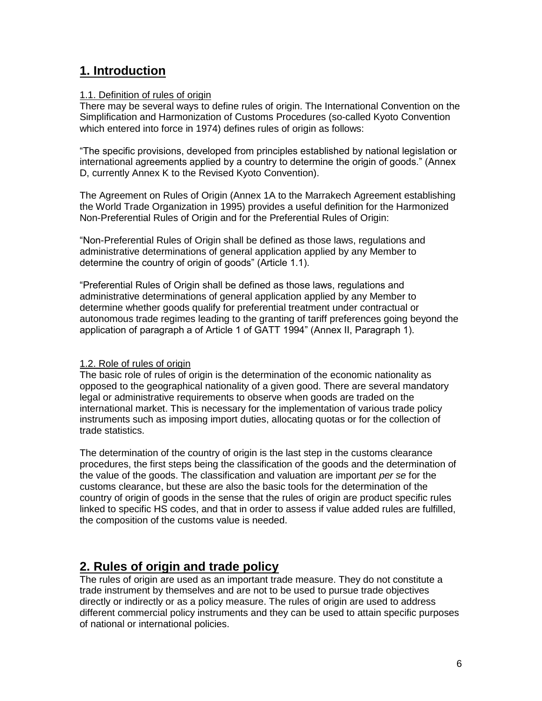# **1. Introduction**

## 1.1. Definition of rules of origin

There may be several ways to define rules of origin. The International Convention on the Simplification and Harmonization of Customs Procedures (so-called Kyoto Convention which entered into force in 1974) defines rules of origin as follows:

"The specific provisions, developed from principles established by national legislation or international agreements applied by a country to determine the origin of goods." (Annex D, currently Annex K to the Revised Kyoto Convention).

The Agreement on Rules of Origin (Annex 1A to the Marrakech Agreement establishing the World Trade Organization in 1995) provides a useful definition for the Harmonized Non-Preferential Rules of Origin and for the Preferential Rules of Origin:

"Non-Preferential Rules of Origin shall be defined as those laws, regulations and administrative determinations of general application applied by any Member to determine the country of origin of goods" (Article 1.1).

"Preferential Rules of Origin shall be defined as those laws, regulations and administrative determinations of general application applied by any Member to determine whether goods qualify for preferential treatment under contractual or autonomous trade regimes leading to the granting of tariff preferences going beyond the application of paragraph a of Article 1 of GATT 1994" (Annex II, Paragraph 1).

#### 1.2. Role of rules of origin

The basic role of rules of origin is the determination of the economic nationality as opposed to the geographical nationality of a given good. There are several mandatory legal or administrative requirements to observe when goods are traded on the international market. This is necessary for the implementation of various trade policy instruments such as imposing import duties, allocating quotas or for the collection of trade statistics.

The determination of the country of origin is the last step in the customs clearance procedures, the first steps being the classification of the goods and the determination of the value of the goods. The classification and valuation are important *per se* for the customs clearance, but these are also the basic tools for the determination of the country of origin of goods in the sense that the rules of origin are product specific rules linked to specific HS codes, and that in order to assess if value added rules are fulfilled, the composition of the customs value is needed.

# **2. Rules of origin and trade policy**

The rules of origin are used as an important trade measure. They do not constitute a trade instrument by themselves and are not to be used to pursue trade objectives directly or indirectly or as a policy measure. The rules of origin are used to address different commercial policy instruments and they can be used to attain specific purposes of national or international policies.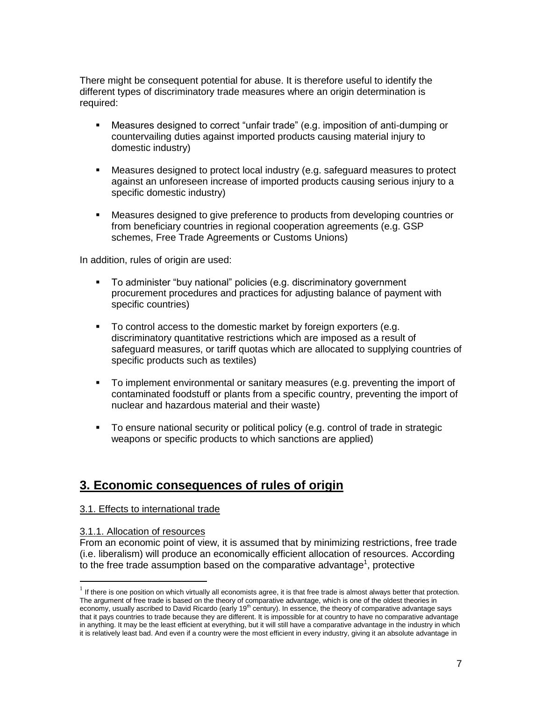There might be consequent potential for abuse. It is therefore useful to identify the different types of discriminatory trade measures where an origin determination is required:

- Measures designed to correct "unfair trade" (e.g. imposition of anti-dumping or countervailing duties against imported products causing material injury to domestic industry)
- Measures designed to protect local industry (e.g. safeguard measures to protect against an unforeseen increase of imported products causing serious injury to a specific domestic industry)
- Measures designed to give preference to products from developing countries or from beneficiary countries in regional cooperation agreements (e.g. GSP schemes, Free Trade Agreements or Customs Unions)

In addition, rules of origin are used:

- To administer "buy national" policies (e.g. discriminatory government procurement procedures and practices for adjusting balance of payment with specific countries)
- To control access to the domestic market by foreign exporters (e.g. discriminatory quantitative restrictions which are imposed as a result of safeguard measures, or tariff quotas which are allocated to supplying countries of specific products such as textiles)
- To implement environmental or sanitary measures (e.g. preventing the import of contaminated foodstuff or plants from a specific country, preventing the import of nuclear and hazardous material and their waste)
- To ensure national security or political policy (e.g. control of trade in strategic weapons or specific products to which sanctions are applied)

# **3. Economic consequences of rules of origin**

#### 3.1. Effects to international trade

#### 3.1.1. Allocation of resources

From an economic point of view, it is assumed that by minimizing restrictions, free trade (i.e. liberalism) will produce an economically efficient allocation of resources. According to the free trade assumption based on the comparative advantage<sup>1</sup>, protective

If there is one position on which virtually all economists agree, it is that free trade is almost always better that protection. The argument of free trade is based on the theory of comparative advantage, which is one of the oldest theories in economy, usually ascribed to David Ricardo (early 19<sup>th</sup> century). In essence, the theory of comparative advantage says that it pays countries to trade because they are different. It is impossible for at country to have no comparative advantage in anything. It may be the least efficient at everything, but it will still have a comparative advantage in the industry in which it is relatively least bad. And even if a country were the most efficient in every industry, giving it an absolute advantage in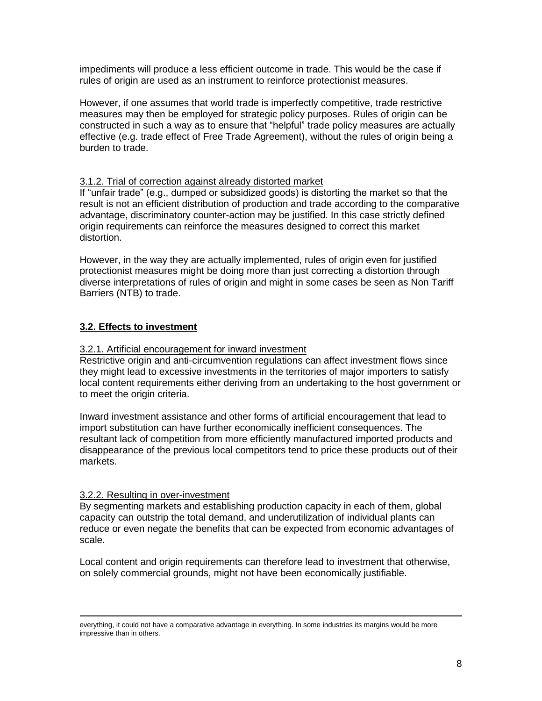impediments will produce a less efficient outcome in trade. This would be the case if rules of origin are used as an instrument to reinforce protectionist measures.

However, if one assumes that world trade is imperfectly competitive, trade restrictive measures may then be employed for strategic policy purposes. Rules of origin can be constructed in such a way as to ensure that "helpful" trade policy measures are actually effective (e.g. trade effect of Free Trade Agreement), without the rules of origin being a burden to trade.

#### 3.1.2. Trial of correction against already distorted market

If "unfair trade" (e.g., dumped or subsidized goods) is distorting the market so that the result is not an efficient distribution of production and trade according to the comparative advantage, discriminatory counter-action may be justified. In this case strictly defined origin requirements can reinforce the measures designed to correct this market distortion.

However, in the way they are actually implemented, rules of origin even for justified protectionist measures might be doing more than just correcting a distortion through diverse interpretations of rules of origin and might in some cases be seen as Non Tariff Barriers (NTB) to trade.

#### **3.2. Effects to investment**

#### 3.2.1. Artificial encouragement for inward investment

Restrictive origin and anti-circumvention regulations can affect investment flows since they might lead to excessive investments in the territories of major importers to satisfy local content requirements either deriving from an undertaking to the host government or to meet the origin criteria.

Inward investment assistance and other forms of artificial encouragement that lead to import substitution can have further economically inefficient consequences. The resultant lack of competition from more efficiently manufactured imported products and disappearance of the previous local competitors tend to price these products out of their markets.

#### 3.2.2. Resulting in over-investment

By segmenting markets and establishing production capacity in each of them, global capacity can outstrip the total demand, and underutilization of individual plants can reduce or even negate the benefits that can be expected from economic advantages of scale.

Local content and origin requirements can therefore lead to investment that otherwise, on solely commercial grounds, might not have been economically justifiable.

 $\overline{a}$ everything, it could not have a comparative advantage in everything. In some industries its margins would be more impressive than in others.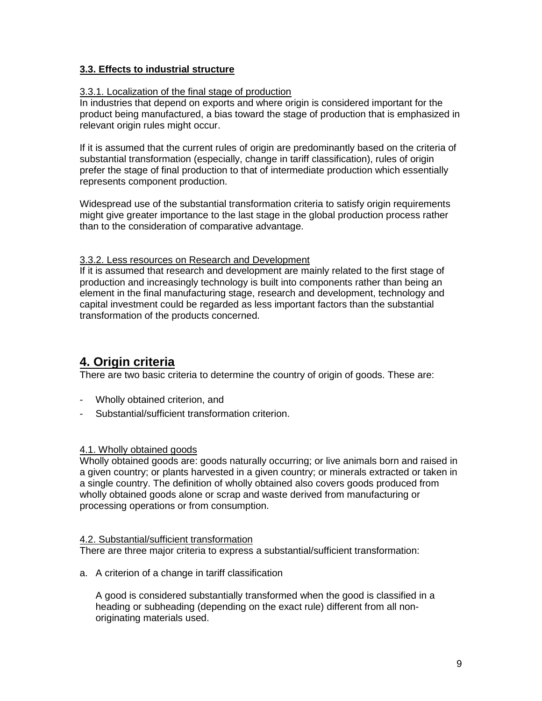## **3.3. Effects to industrial structure**

#### 3.3.1. Localization of the final stage of production

In industries that depend on exports and where origin is considered important for the product being manufactured, a bias toward the stage of production that is emphasized in relevant origin rules might occur.

If it is assumed that the current rules of origin are predominantly based on the criteria of substantial transformation (especially, change in tariff classification), rules of origin prefer the stage of final production to that of intermediate production which essentially represents component production.

Widespread use of the substantial transformation criteria to satisfy origin requirements might give greater importance to the last stage in the global production process rather than to the consideration of comparative advantage.

#### 3.3.2. Less resources on Research and Development

If it is assumed that research and development are mainly related to the first stage of production and increasingly technology is built into components rather than being an element in the final manufacturing stage, research and development, technology and capital investment could be regarded as less important factors than the substantial transformation of the products concerned.

# **4. Origin criteria**

There are two basic criteria to determine the country of origin of goods. These are:

- Wholly obtained criterion, and
- Substantial/sufficient transformation criterion.

## 4.1. Wholly obtained goods

Wholly obtained goods are: goods naturally occurring; or live animals born and raised in a given country; or plants harvested in a given country; or minerals extracted or taken in a single country. The definition of wholly obtained also covers goods produced from wholly obtained goods alone or scrap and waste derived from manufacturing or processing operations or from consumption.

#### 4.2. Substantial/sufficient transformation

There are three major criteria to express a substantial/sufficient transformation:

a. A criterion of a change in tariff classification

A good is considered substantially transformed when the good is classified in a heading or subheading (depending on the exact rule) different from all nonoriginating materials used.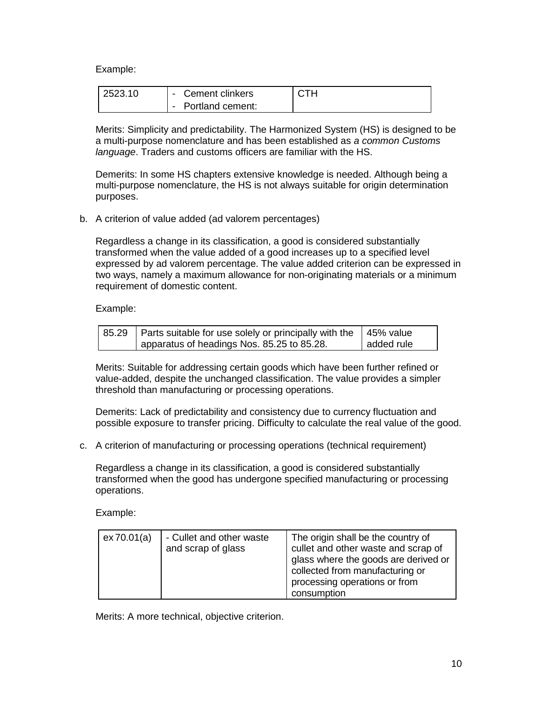Example:

| 2523.10 | Cement clinkers  | стн |
|---------|------------------|-----|
|         | Portland cement: |     |

Merits: Simplicity and predictability. The Harmonized System (HS) is designed to be a multi-purpose nomenclature and has been established as *a common Customs language*. Traders and customs officers are familiar with the HS.

Demerits: In some HS chapters extensive knowledge is needed. Although being a multi-purpose nomenclature, the HS is not always suitable for origin determination purposes.

b. A criterion of value added (ad valorem percentages)

Regardless a change in its classification, a good is considered substantially transformed when the value added of a good increases up to a specified level expressed by ad valorem percentage. The value added criterion can be expressed in two ways, namely a maximum allowance for non-originating materials or a minimum requirement of domestic content.

Example:

| 85.29   Parts suitable for use solely or principally with the   45% value |            |
|---------------------------------------------------------------------------|------------|
| apparatus of headings Nos. 85.25 to 85.28.                                | added rule |

Merits: Suitable for addressing certain goods which have been further refined or value-added, despite the unchanged classification. The value provides a simpler threshold than manufacturing or processing operations.

Demerits: Lack of predictability and consistency due to currency fluctuation and possible exposure to transfer pricing. Difficulty to calculate the real value of the good.

c. A criterion of manufacturing or processing operations (technical requirement)

Regardless a change in its classification, a good is considered substantially transformed when the good has undergone specified manufacturing or processing operations.

Example:

| ex70.01(a) | - Cullet and other waste<br>and scrap of glass | The origin shall be the country of<br>cullet and other waste and scrap of<br>glass where the goods are derived or<br>collected from manufacturing or<br>processing operations or from<br>consumption |
|------------|------------------------------------------------|------------------------------------------------------------------------------------------------------------------------------------------------------------------------------------------------------|
|------------|------------------------------------------------|------------------------------------------------------------------------------------------------------------------------------------------------------------------------------------------------------|

Merits: A more technical, objective criterion.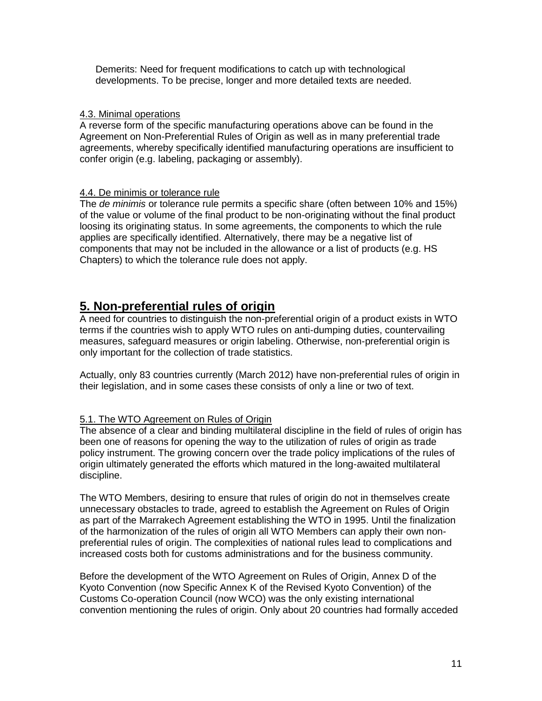Demerits: Need for frequent modifications to catch up with technological developments. To be precise, longer and more detailed texts are needed.

#### 4.3. Minimal operations

A reverse form of the specific manufacturing operations above can be found in the Agreement on Non-Preferential Rules of Origin as well as in many preferential trade agreements, whereby specifically identified manufacturing operations are insufficient to confer origin (e.g. labeling, packaging or assembly).

#### 4.4. De minimis or tolerance rule

The *de minimis* or tolerance rule permits a specific share (often between 10% and 15%) of the value or volume of the final product to be non-originating without the final product loosing its originating status. In some agreements, the components to which the rule applies are specifically identified. Alternatively, there may be a negative list of components that may not be included in the allowance or a list of products (e.g. HS Chapters) to which the tolerance rule does not apply.

# **5. Non-preferential rules of origin**

A need for countries to distinguish the non-preferential origin of a product exists in WTO terms if the countries wish to apply WTO rules on anti-dumping duties, countervailing measures, safeguard measures or origin labeling. Otherwise, non-preferential origin is only important for the collection of trade statistics.

Actually, only 83 countries currently (March 2012) have non-preferential rules of origin in their legislation, and in some cases these consists of only a line or two of text.

#### 5.1. The WTO Agreement on Rules of Origin

The absence of a clear and binding multilateral discipline in the field of rules of origin has been one of reasons for opening the way to the utilization of rules of origin as trade policy instrument. The growing concern over the trade policy implications of the rules of origin ultimately generated the efforts which matured in the long-awaited multilateral discipline.

The WTO Members, desiring to ensure that rules of origin do not in themselves create unnecessary obstacles to trade, agreed to establish the Agreement on Rules of Origin as part of the Marrakech Agreement establishing the WTO in 1995. Until the finalization of the harmonization of the rules of origin all WTO Members can apply their own nonpreferential rules of origin. The complexities of national rules lead to complications and increased costs both for customs administrations and for the business community.

Before the development of the WTO Agreement on Rules of Origin, Annex D of the Kyoto Convention (now Specific Annex K of the Revised Kyoto Convention) of the Customs Co-operation Council (now WCO) was the only existing international convention mentioning the rules of origin. Only about 20 countries had formally acceded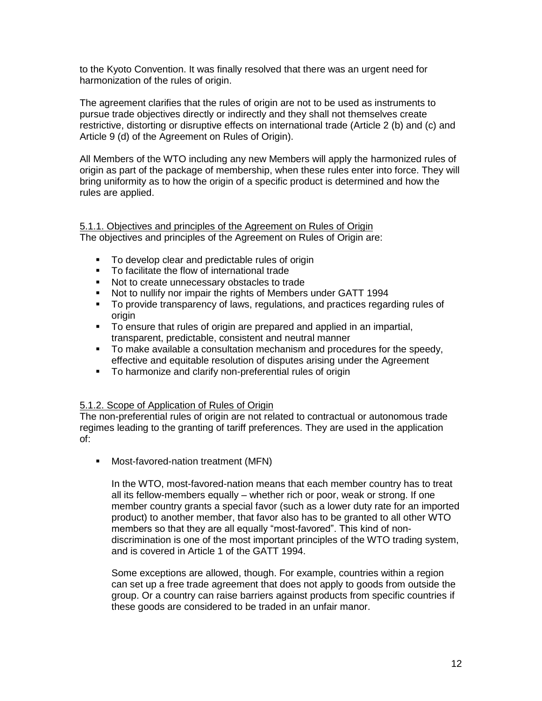to the Kyoto Convention. It was finally resolved that there was an urgent need for harmonization of the rules of origin.

The agreement clarifies that the rules of origin are not to be used as instruments to pursue trade objectives directly or indirectly and they shall not themselves create restrictive, distorting or disruptive effects on international trade (Article 2 (b) and (c) and Article 9 (d) of the Agreement on Rules of Origin).

All Members of the WTO including any new Members will apply the harmonized rules of origin as part of the package of membership, when these rules enter into force. They will bring uniformity as to how the origin of a specific product is determined and how the rules are applied.

# 5.1.1. Objectives and principles of the Agreement on Rules of Origin

The objectives and principles of the Agreement on Rules of Origin are:

- To develop clear and predictable rules of origin
- To facilitate the flow of international trade
- Not to create unnecessary obstacles to trade
- Not to nullify nor impair the rights of Members under GATT 1994
- To provide transparency of laws, regulations, and practices regarding rules of origin
- To ensure that rules of origin are prepared and applied in an impartial, transparent, predictable, consistent and neutral manner
- To make available a consultation mechanism and procedures for the speedy, effective and equitable resolution of disputes arising under the Agreement
- To harmonize and clarify non-preferential rules of origin

#### 5.1.2. Scope of Application of Rules of Origin

The non-preferential rules of origin are not related to contractual or autonomous trade regimes leading to the granting of tariff preferences. They are used in the application of:

**Nost-favored-nation treatment (MFN)** 

In the WTO, most-favored-nation means that each member country has to treat all its fellow-members equally – whether rich or poor, weak or strong. If one member country grants a special favor (such as a lower duty rate for an imported product) to another member, that favor also has to be granted to all other WTO members so that they are all equally "most-favored". This kind of nondiscrimination is one of the most important principles of the WTO trading system, and is covered in Article 1 of the GATT 1994.

Some exceptions are allowed, though. For example, countries within a region can set up a free trade agreement that does not apply to goods from outside the group. Or a country can raise barriers against products from specific countries if these goods are considered to be traded in an unfair manor.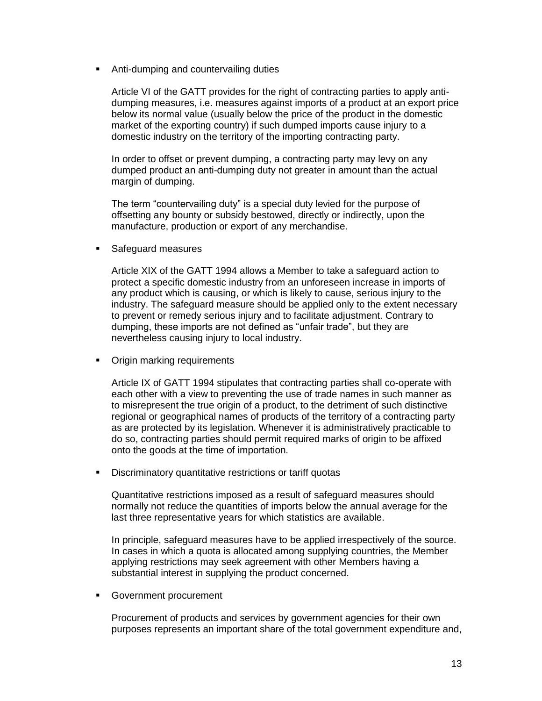**Anti-dumping and countervailing duties** 

Article VI of the GATT provides for the right of contracting parties to apply antidumping measures, i.e. measures against imports of a product at an export price below its normal value (usually below the price of the product in the domestic market of the exporting country) if such dumped imports cause injury to a domestic industry on the territory of the importing contracting party.

In order to offset or prevent dumping, a contracting party may levy on any dumped product an anti-dumping duty not greater in amount than the actual margin of dumping.

The term "countervailing duty" is a special duty levied for the purpose of offsetting any bounty or subsidy bestowed, directly or indirectly, upon the manufacture, production or export of any merchandise.

**Safeguard measures** 

Article XIX of the GATT 1994 allows a Member to take a safeguard action to protect a specific domestic industry from an unforeseen increase in imports of any product which is causing, or which is likely to cause, serious injury to the industry. The safeguard measure should be applied only to the extent necessary to prevent or remedy serious injury and to facilitate adjustment. Contrary to dumping, these imports are not defined as "unfair trade", but they are nevertheless causing injury to local industry.

**•** Origin marking requirements

Article IX of GATT 1994 stipulates that contracting parties shall co-operate with each other with a view to preventing the use of trade names in such manner as to misrepresent the true origin of a product, to the detriment of such distinctive regional or geographical names of products of the territory of a contracting party as are protected by its legislation. Whenever it is administratively practicable to do so, contracting parties should permit required marks of origin to be affixed onto the goods at the time of importation.

**Discriminatory quantitative restrictions or tariff quotas** 

Quantitative restrictions imposed as a result of safeguard measures should normally not reduce the quantities of imports below the annual average for the last three representative years for which statistics are available.

In principle, safeguard measures have to be applied irrespectively of the source. In cases in which a quota is allocated among supplying countries, the Member applying restrictions may seek agreement with other Members having a substantial interest in supplying the product concerned.

**Government procurement** 

Procurement of products and services by government agencies for their own purposes represents an important share of the total government expenditure and,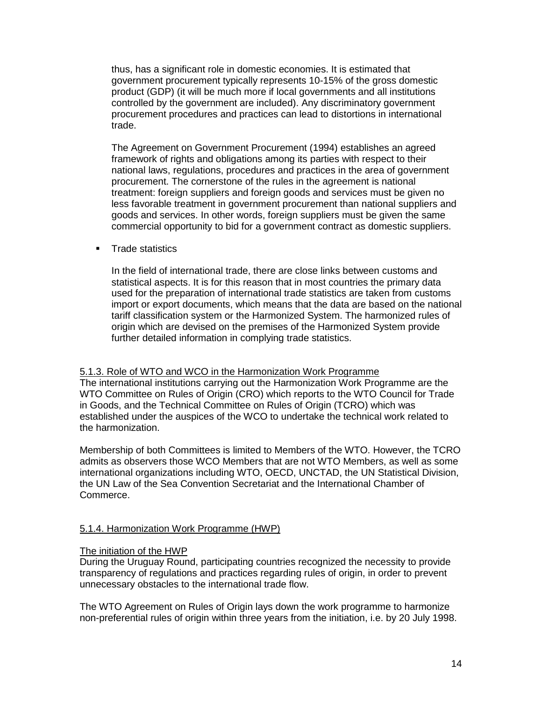thus, has a significant role in domestic economies. It is estimated that government procurement typically represents 10-15% of the gross domestic product (GDP) (it will be much more if local governments and all institutions controlled by the government are included). Any discriminatory government procurement procedures and practices can lead to distortions in international trade.

The Agreement on Government Procurement (1994) establishes an agreed framework of rights and obligations among its parties with respect to their national laws, regulations, procedures and practices in the area of government procurement. The cornerstone of the rules in the agreement is national treatment: foreign suppliers and foreign goods and services must be given no less favorable treatment in government procurement than national suppliers and goods and services. In other words, foreign suppliers must be given the same commercial opportunity to bid for a government contract as domestic suppliers.

**Trade statistics** 

In the field of international trade, there are close links between customs and statistical aspects. It is for this reason that in most countries the primary data used for the preparation of international trade statistics are taken from customs import or export documents, which means that the data are based on the national tariff classification system or the Harmonized System. The harmonized rules of origin which are devised on the premises of the Harmonized System provide further detailed information in complying trade statistics.

#### 5.1.3. Role of WTO and WCO in the Harmonization Work Programme

The international institutions carrying out the Harmonization Work Programme are the WTO Committee on Rules of Origin (CRO) which reports to the WTO Council for Trade in Goods, and the Technical Committee on Rules of Origin (TCRO) which was established under the auspices of the WCO to undertake the technical work related to the harmonization.

Membership of both Committees is limited to Members of the WTO. However, the TCRO admits as observers those WCO Members that are not WTO Members, as well as some international organizations including WTO, OECD, UNCTAD, the UN Statistical Division, the UN Law of the Sea Convention Secretariat and the International Chamber of Commerce.

#### 5.1.4. Harmonization Work Programme (HWP)

#### The initiation of the HWP

During the Uruguay Round, participating countries recognized the necessity to provide transparency of regulations and practices regarding rules of origin, in order to prevent unnecessary obstacles to the international trade flow.

The WTO Agreement on Rules of Origin lays down the work programme to harmonize non-preferential rules of origin within three years from the initiation, i.e. by 20 July 1998.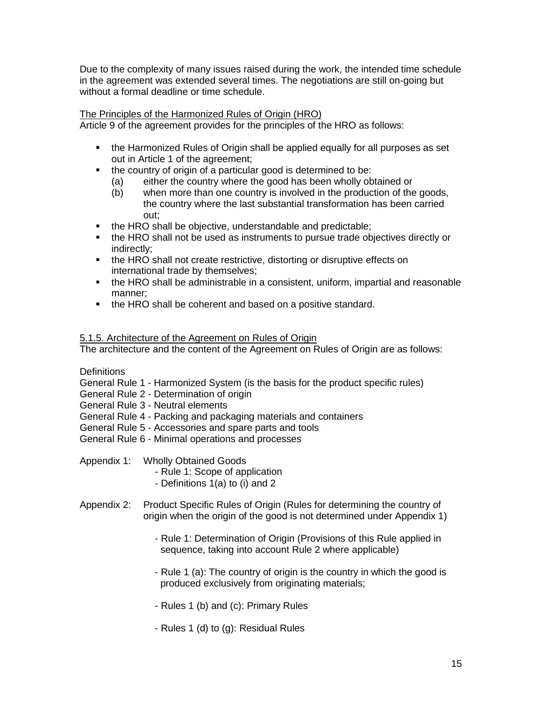Due to the complexity of many issues raised during the work, the intended time schedule in the agreement was extended several times. The negotiations are still on-going but without a formal deadline or time schedule.

## The Principles of the Harmonized Rules of Origin (HRO)

Article 9 of the agreement provides for the principles of the HRO as follows:

- the Harmonized Rules of Origin shall be applied equally for all purposes as set out in Article 1 of the agreement;
- the country of origin of a particular good is determined to be:
	- (a) either the country where the good has been wholly obtained or
	- (b) when more than one country is involved in the production of the goods, the country where the last substantial transformation has been carried out;
- the HRO shall be objective, understandable and predictable;
- the HRO shall not be used as instruments to pursue trade objectives directly or indirectly;
- the HRO shall not create restrictive, distorting or disruptive effects on international trade by themselves;
- the HRO shall be administrable in a consistent, uniform, impartial and reasonable manner;
- the HRO shall be coherent and based on a positive standard.

## 5.1.5. Architecture of the Agreement on Rules of Origin

The architecture and the content of the Agreement on Rules of Origin are as follows:

**Definitions** 

General Rule 1 - Harmonized System (is the basis for the product specific rules)

General Rule 2 - Determination of origin

General Rule 3 - Neutral elements

General Rule 4 - Packing and packaging materials and containers

General Rule 5 - Accessories and spare parts and tools

General Rule 6 - Minimal operations and processes

Appendix 1: Wholly Obtained Goods

- Rule 1: Scope of application
- Definitions 1(a) to (i) and 2
- Appendix 2: Product Specific Rules of Origin (Rules for determining the country of origin when the origin of the good is not determined under Appendix 1)
	- Rule 1: Determination of Origin (Provisions of this Rule applied in sequence, taking into account Rule 2 where applicable)
	- Rule 1 (a): The country of origin is the country in which the good is produced exclusively from originating materials;
	- Rules 1 (b) and (c): Primary Rules
	- Rules 1 (d) to (g): Residual Rules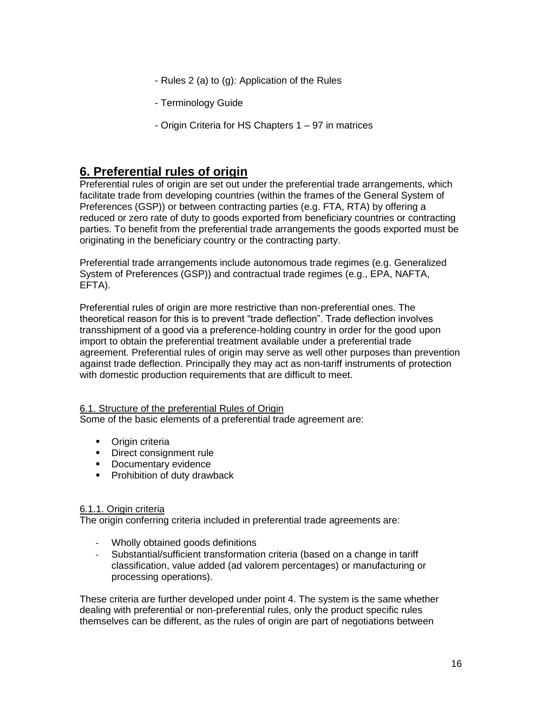- Rules 2 (a) to (g): Application of the Rules
- Terminology Guide
- Origin Criteria for HS Chapters 1 97 in matrices

# **6. Preferential rules of origin**

Preferential rules of origin are set out under the preferential trade arrangements, which facilitate trade from developing countries (within the frames of the General System of Preferences (GSP)) or between contracting parties (e.g. FTA, RTA) by offering a reduced or zero rate of duty to goods exported from beneficiary countries or contracting parties. To benefit from the preferential trade arrangements the goods exported must be originating in the beneficiary country or the contracting party.

Preferential trade arrangements include autonomous trade regimes (e.g. Generalized System of Preferences (GSP)) and contractual trade regimes (e.g., EPA, NAFTA, EFTA).

Preferential rules of origin are more restrictive than non-preferential ones. The theoretical reason for this is to prevent "trade deflection". Trade deflection involves transshipment of a good via a preference-holding country in order for the good upon import to obtain the preferential treatment available under a preferential trade agreement. Preferential rules of origin may serve as well other purposes than prevention against trade deflection. Principally they may act as non-tariff instruments of protection with domestic production requirements that are difficult to meet.

#### 6.1. Structure of the preferential Rules of Origin

Some of the basic elements of a preferential trade agreement are:

- **•** Origin criteria
- Direct consignment rule
- **Documentary evidence**
- **Prohibition of duty drawback**

#### 6.1.1. Origin criteria

The origin conferring criteria included in preferential trade agreements are:

- Wholly obtained goods definitions
- Substantial/sufficient transformation criteria (based on a change in tariff classification, value added (ad valorem percentages) or manufacturing or processing operations).

These criteria are further developed under point 4. The system is the same whether dealing with preferential or non-preferential rules, only the product specific rules themselves can be different, as the rules of origin are part of negotiations between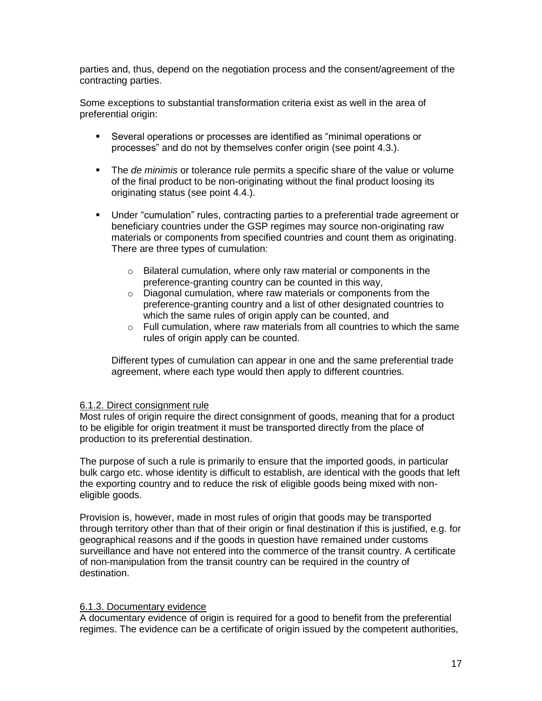parties and, thus, depend on the negotiation process and the consent/agreement of the contracting parties.

Some exceptions to substantial transformation criteria exist as well in the area of preferential origin:

- Several operations or processes are identified as "minimal operations or processes" and do not by themselves confer origin (see point 4.3.).
- The *de minimis* or tolerance rule permits a specific share of the value or volume of the final product to be non-originating without the final product loosing its originating status (see point 4.4.).
- Under "cumulation" rules, contracting parties to a preferential trade agreement or beneficiary countries under the GSP regimes may source non-originating raw materials or components from specified countries and count them as originating. There are three types of cumulation:
	- o Bilateral cumulation, where only raw material or components in the preference-granting country can be counted in this way,
	- o Diagonal cumulation, where raw materials or components from the preference-granting country and a list of other designated countries to which the same rules of origin apply can be counted, and
	- $\circ$  Full cumulation, where raw materials from all countries to which the same rules of origin apply can be counted.

Different types of cumulation can appear in one and the same preferential trade agreement, where each type would then apply to different countries.

### 6.1.2. Direct consignment rule

Most rules of origin require the direct consignment of goods, meaning that for a product to be eligible for origin treatment it must be transported directly from the place of production to its preferential destination.

The purpose of such a rule is primarily to ensure that the imported goods, in particular bulk cargo etc. whose identity is difficult to establish, are identical with the goods that left the exporting country and to reduce the risk of eligible goods being mixed with noneligible goods.

Provision is, however, made in most rules of origin that goods may be transported through territory other than that of their origin or final destination if this is justified, e.g. for geographical reasons and if the goods in question have remained under customs surveillance and have not entered into the commerce of the transit country. A certificate of non-manipulation from the transit country can be required in the country of destination.

#### 6.1.3. Documentary evidence

A documentary evidence of origin is required for a good to benefit from the preferential regimes. The evidence can be a certificate of origin issued by the competent authorities,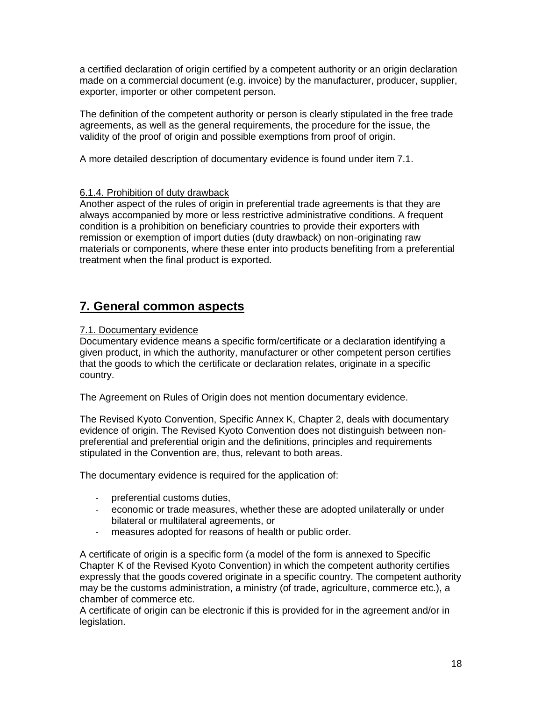a certified declaration of origin certified by a competent authority or an origin declaration made on a commercial document (e.g. invoice) by the manufacturer, producer, supplier, exporter, importer or other competent person.

The definition of the competent authority or person is clearly stipulated in the free trade agreements, as well as the general requirements, the procedure for the issue, the validity of the proof of origin and possible exemptions from proof of origin.

A more detailed description of documentary evidence is found under item 7.1.

## 6.1.4. Prohibition of duty drawback

Another aspect of the rules of origin in preferential trade agreements is that they are always accompanied by more or less restrictive administrative conditions. A frequent condition is a prohibition on beneficiary countries to provide their exporters with remission or exemption of import duties (duty drawback) on non-originating raw materials or components, where these enter into products benefiting from a preferential treatment when the final product is exported.

# **7. General common aspects**

## 7.1. Documentary evidence

Documentary evidence means a specific form/certificate or a declaration identifying a given product, in which the authority, manufacturer or other competent person certifies that the goods to which the certificate or declaration relates, originate in a specific country.

The Agreement on Rules of Origin does not mention documentary evidence.

The Revised Kyoto Convention, Specific Annex K, Chapter 2, deals with documentary evidence of origin. The Revised Kyoto Convention does not distinguish between nonpreferential and preferential origin and the definitions, principles and requirements stipulated in the Convention are, thus, relevant to both areas.

The documentary evidence is required for the application of:

- preferential customs duties,
- economic or trade measures, whether these are adopted unilaterally or under bilateral or multilateral agreements, or
- measures adopted for reasons of health or public order.

A certificate of origin is a specific form (a model of the form is annexed to Specific Chapter K of the Revised Kyoto Convention) in which the competent authority certifies expressly that the goods covered originate in a specific country. The competent authority may be the customs administration, a ministry (of trade, agriculture, commerce etc.), a chamber of commerce etc.

A certificate of origin can be electronic if this is provided for in the agreement and/or in legislation.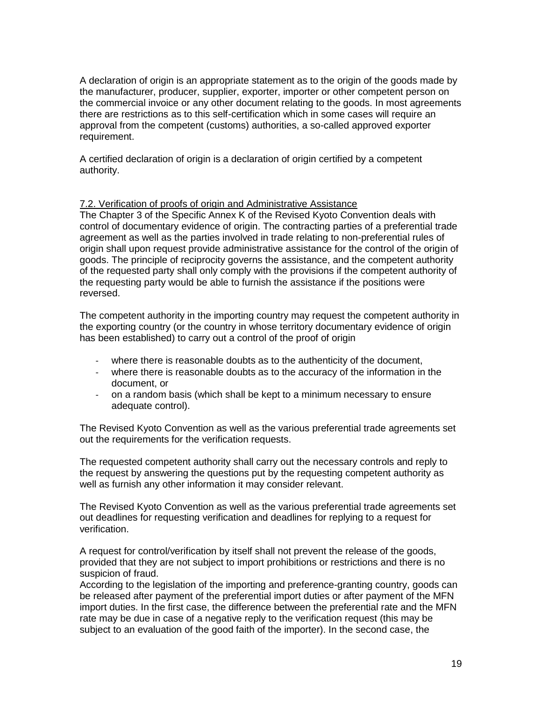A declaration of origin is an appropriate statement as to the origin of the goods made by the manufacturer, producer, supplier, exporter, importer or other competent person on the commercial invoice or any other document relating to the goods. In most agreements there are restrictions as to this self-certification which in some cases will require an approval from the competent (customs) authorities, a so-called approved exporter requirement.

A certified declaration of origin is a declaration of origin certified by a competent authority.

#### 7.2. Verification of proofs of origin and Administrative Assistance

The Chapter 3 of the Specific Annex K of the Revised Kyoto Convention deals with control of documentary evidence of origin. The contracting parties of a preferential trade agreement as well as the parties involved in trade relating to non-preferential rules of origin shall upon request provide administrative assistance for the control of the origin of goods. The principle of reciprocity governs the assistance, and the competent authority of the requested party shall only comply with the provisions if the competent authority of the requesting party would be able to furnish the assistance if the positions were reversed.

The competent authority in the importing country may request the competent authority in the exporting country (or the country in whose territory documentary evidence of origin has been established) to carry out a control of the proof of origin

- where there is reasonable doubts as to the authenticity of the document,
- where there is reasonable doubts as to the accuracy of the information in the document, or
- on a random basis (which shall be kept to a minimum necessary to ensure adequate control).

The Revised Kyoto Convention as well as the various preferential trade agreements set out the requirements for the verification requests.

The requested competent authority shall carry out the necessary controls and reply to the request by answering the questions put by the requesting competent authority as well as furnish any other information it may consider relevant.

The Revised Kyoto Convention as well as the various preferential trade agreements set out deadlines for requesting verification and deadlines for replying to a request for verification.

A request for control/verification by itself shall not prevent the release of the goods, provided that they are not subject to import prohibitions or restrictions and there is no suspicion of fraud.

According to the legislation of the importing and preference-granting country, goods can be released after payment of the preferential import duties or after payment of the MFN import duties. In the first case, the difference between the preferential rate and the MFN rate may be due in case of a negative reply to the verification request (this may be subject to an evaluation of the good faith of the importer). In the second case, the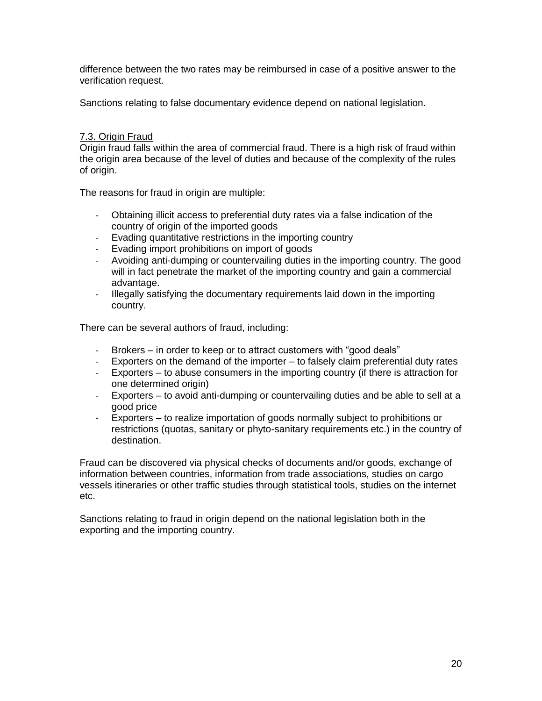difference between the two rates may be reimbursed in case of a positive answer to the verification request.

Sanctions relating to false documentary evidence depend on national legislation.

#### 7.3. Origin Fraud

Origin fraud falls within the area of commercial fraud. There is a high risk of fraud within the origin area because of the level of duties and because of the complexity of the rules of origin.

The reasons for fraud in origin are multiple:

- Obtaining illicit access to preferential duty rates via a false indication of the country of origin of the imported goods
- Evading quantitative restrictions in the importing country
- Evading import prohibitions on import of goods
- Avoiding anti-dumping or countervailing duties in the importing country. The good will in fact penetrate the market of the importing country and gain a commercial advantage.
- Illegally satisfying the documentary requirements laid down in the importing country.

There can be several authors of fraud, including:

- Brokers in order to keep or to attract customers with "good deals"
- Exporters on the demand of the importer to falsely claim preferential duty rates
- Exporters to abuse consumers in the importing country (if there is attraction for one determined origin)
- Exporters to avoid anti-dumping or countervailing duties and be able to sell at a good price
- Exporters to realize importation of goods normally subject to prohibitions or restrictions (quotas, sanitary or phyto-sanitary requirements etc.) in the country of destination.

Fraud can be discovered via physical checks of documents and/or goods, exchange of information between countries, information from trade associations, studies on cargo vessels itineraries or other traffic studies through statistical tools, studies on the internet etc.

Sanctions relating to fraud in origin depend on the national legislation both in the exporting and the importing country.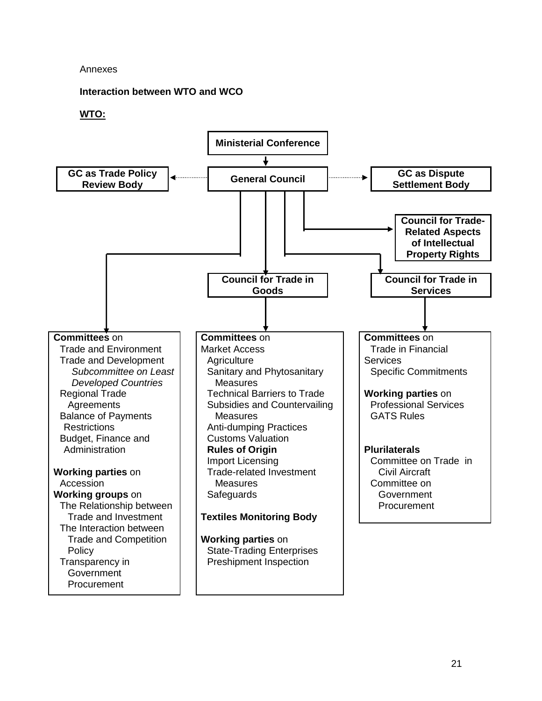#### Annexes

**Interaction between WTO and WCO**

#### **WTO:**